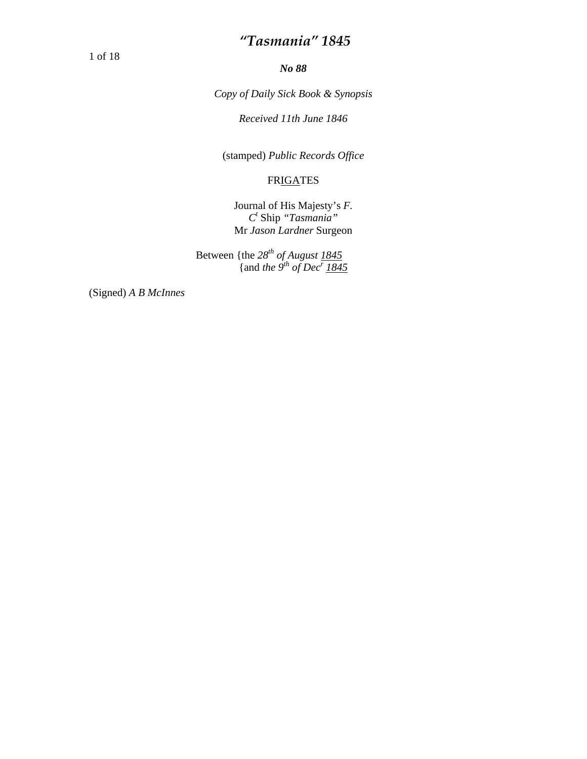1 of 18

*No 88* 

*Copy of Daily Sick Book & Synopsis* 

*Received 11th June 1846* 

(stamped) *Public Records Office* 

#### FRIGATES

Journal of His Majesty's *F. Ct* Ship *"Tasmania"*  Mr *Jason Lardner* Surgeon

Between {the 28<sup>th</sup> of August 1845 {and *the* 9<sup>th</sup> of Dec<sup>r</sup> 1845

(Signed) *A B McInnes*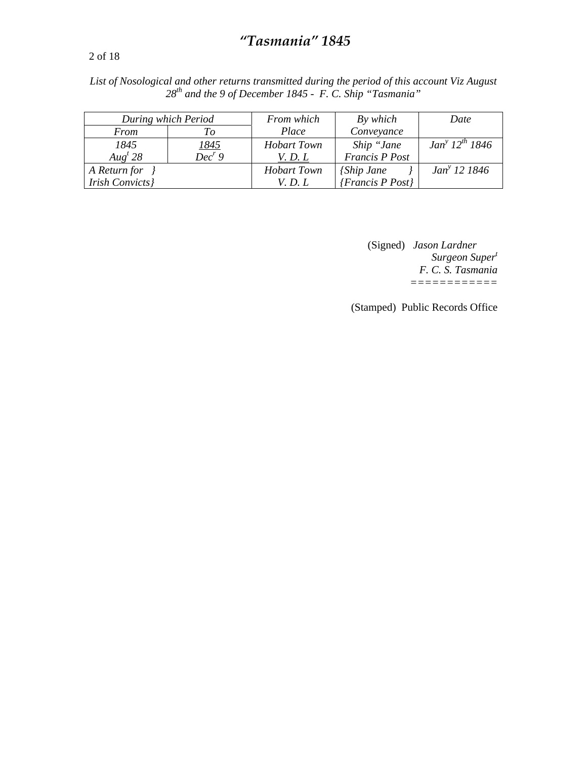2 of 18

*List of Nosological and other returns transmitted during the period of this account Viz August 28th and the 9 of December 1845 - F. C. Ship "Tasmania"* 

|                       | During which Period | From which         | By which               | Date                     |
|-----------------------|---------------------|--------------------|------------------------|--------------------------|
| From                  | Tо                  | Place              | Conveyance             |                          |
| 1845                  | <u> 1845 </u>       | <b>Hobart Town</b> | Ship "Jane             | $Jan^{y} 12^{th} 1846$   |
| Aug <sup>t</sup> 28   | $Dec^r 9$           | V. D. L            | <b>Francis P Post</b>  |                          |
| A Return for          |                     | <b>Hobart Town</b> | <i>{Ship Jane}</i>     | Jan <sup>y</sup> 12 1846 |
| <b>Irish Convicts</b> |                     | <i>V. D. L.</i>    | $\{Francis\ P\ Post\}$ |                          |

(Signed) *Jason Lardner Surgeon Supert F. C. S. Tasmania ============* 

(Stamped) Public Records Office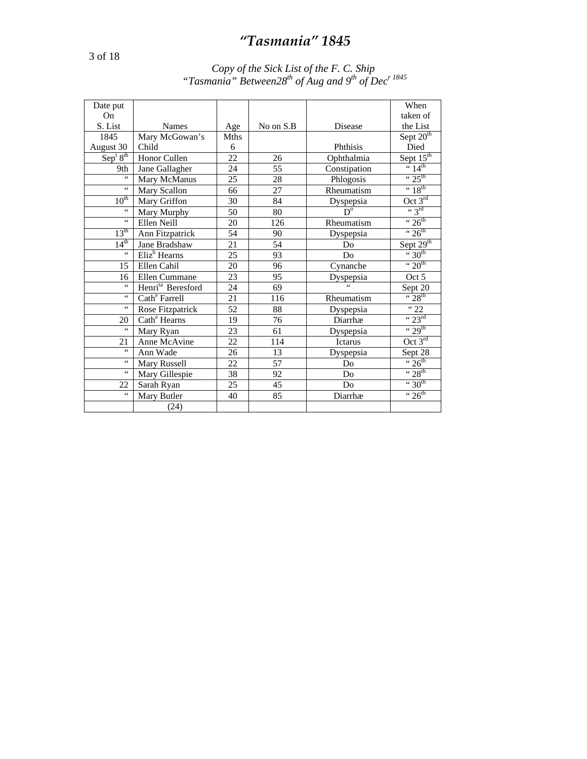#### *Copy of the Sick List of the F. C. Ship "Tasmania" Between28<sup>th</sup> of Aug and 9<sup>th</sup> of Dec<sup>r 1845</sup>*

| Date put                         |                               |      |           |                        | When                         |
|----------------------------------|-------------------------------|------|-----------|------------------------|------------------------------|
| On.                              |                               |      |           |                        | taken of                     |
| S. List                          | <b>Names</b>                  | Age  | No on S.B | Disease                | the List                     |
| 1845                             | Mary McGowan's                | Mths |           |                        | $S$ ept $20th$               |
| August 30                        | Child                         | 6    |           | Phthisis               | Died                         |
| Sep <sup>t</sup> 8 <sup>th</sup> | Honor Cullen                  | 22   | 26        | Ophthalmia             | Sept $15th$                  |
| 9th                              | Jane Gallagher                | 24   | 55        | Constipation           | $\frac{1}{4}$                |
| $\epsilon$                       | Mary McManus                  | 25   | 28        | Phlogosis              | $\cdot \cdot 25^{\text{th}}$ |
| 66                               | Mary Scallon                  | 66   | 27        | Rheumatism             | $\cdot \cdot 18^{\text{th}}$ |
| $10^{th}$                        | Mary Griffon                  | 30   | 84        | Dyspepsia              | Oct $3^{rd}$                 |
| $\leq$ $\leq$                    | Mary Murphy                   | 50   | 80        | $\overline{D}^{\circ}$ | $\cdot \cdot$ 3rd            |
| 66                               | Ellen Neill                   | 20   | 126       | Rheumatism             | " $26th$                     |
| $13^{\text{th}}$                 | Ann Fitzpatrick               | 54   | 90        | Dyspepsia              | $\cdot \cdot 26^{\text{th}}$ |
| $14^{th}$                        | Jane Bradshaw                 | 21   | 54        | Do                     | Sept $29th$                  |
| $\epsilon$                       | $E$ liz <sup>h</sup> Hearns   | 25   | 93        | D <sub>0</sub>         | $\cdot \cdot 30^{th}$        |
| 15                               | Ellen Cahil                   | 20   | 96        | Cynanche               | $\cdot \cdot 20^{th}$        |
| 16                               | Ellen Cummane                 | 23   | 95        | Dyspepsia              | Oct 5                        |
| 66                               | Henri <sup>ta</sup> Beresford | 24   | 69        |                        | Sept 20                      |
| 66                               | Cath <sup>e</sup> Farrell     | 21   | 116       | Rheumatism             | $\frac{1}{28}$ th            |
| $\epsilon$                       | Rose Fitzpatrick              | 52   | 88        | Dyspepsia              | $\frac{1}{22}$               |
| 20                               | Cath <sup>e</sup> Hearns      | 19   | 76        | Diarrhæ                | $\cdot \cdot 23^{\text{rd}}$ |
| $\overline{\mathbf{66}}$         | Mary Ryan                     | 23   | 61        | Dyspepsia              | $\cdot \cdot 29^{\text{th}}$ |
| 21                               | Anne McAvine                  | 22   | 114       | Ictarus                | Oct $3^{rd}$                 |
| $\overline{\mathbf{66}}$         | Ann Wade                      | 26   | 13        | Dyspepsia              | Sept 28                      |
| 66                               | Mary Russell                  | 22   | 57        | D <sub>0</sub>         | $\overline{26}^{th}$         |
| 66                               | Mary Gillespie                | 38   | 92        | Do                     | " $28th$                     |
| 22                               | Sarah Ryan                    | 25   | 45        | Do                     | $\cdot \cdot 30^{th}$        |
| $\zeta$ $\zeta$                  | Mary Butler                   | 40   | 85        | Diarrhæ                | $\cdot \cdot 26^{\text{th}}$ |
|                                  | (24)                          |      |           |                        |                              |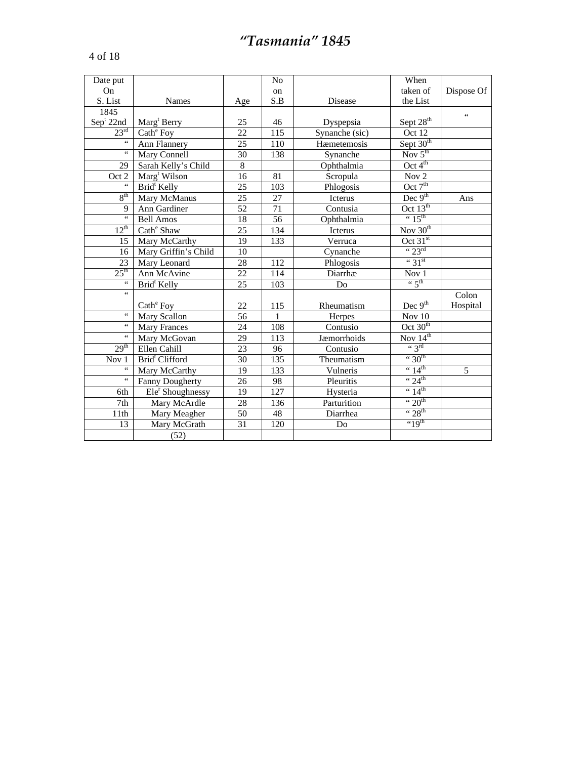|--|--|--|

| Date put                    |                            |                 | N <sub>o</sub>  |                        | When                           |            |
|-----------------------------|----------------------------|-----------------|-----------------|------------------------|--------------------------------|------------|
| On                          |                            |                 | on              |                        | taken of                       | Dispose Of |
| S. List                     | <b>Names</b>               | Age             | S.B             | Disease                | the List                       |            |
| 1845                        |                            |                 |                 |                        |                                | 66         |
| Sep <sup>t</sup> 22nd       | Marg <sup>t</sup> Berry    | 25              | 46              | Dyspepsia              | Sept $28th$                    |            |
| $23^{\overline{\text{rd}}}$ | Cath <sup>e</sup> Foy      | 22              | 115             | Synanche (sic)         | Oct 12                         |            |
| $\epsilon$ $\epsilon$       | Ann Flannery               | 25              | 110             | Hæmetemosis            | Sept 30 <sup>th</sup>          |            |
| 66                          | Mary Connell               | 30              | 138             | Synanche               | Nov $5^{\text{th}}$            |            |
| 29                          | Sarah Kelly's Child        | 8               |                 | Ophthalmia             | Oct $4^{\text{th}}$            |            |
| Oct 2                       | Marg <sup>t</sup> Wilson   | 16              | $\overline{81}$ | Scropula               | Nov 2                          |            |
| $\epsilon$                  | Brid <sup>t</sup> Kelly    | 25              | 103             | Phlogosis              | Oct $7th$                      |            |
| 8 <sup>th</sup>             | Mary McManus               | 25              | 27              | <b>Icterus</b>         | Dec $9th$                      | Ans        |
| 9                           | Ann Gardiner               | $\overline{52}$ | $\overline{71}$ | Contusia               | Oct $13th$                     |            |
| $\epsilon$ $\epsilon$       | <b>Bell Amos</b>           | 18              | 56              | Ophthalmia             | $\cdot \cdot 15^{\text{th}}$   |            |
| $12^{th}$                   | Cath <sup>e</sup> Shaw     | $\overline{25}$ | 134             | Icterus                | Nov $30th$                     |            |
| 15                          | Mary McCarthy              | 19              | 133             | Verruca                | Oct $31st$                     |            |
| 16                          | Mary Griffin's Child       | 10              |                 | Cynanche               | $\cdot \cdot 23^{\text{rd}}$   |            |
| 23                          | Mary Leonard               | 28              | 112             | Phlogosis              | $``31$ <sup>st</sup>           |            |
| $25^{\text{th}}$            | Ann McAvine                | 22              | 114             | Diarrhæ                | Nov 1                          |            |
| $\overline{\mathbf{G}}$     | Brid <sup>t</sup> Kelly    | 25              | 103             | Do                     | $\left( \cdot \right)$ 5th     |            |
| $\overline{\mathbf{G}}$     |                            |                 |                 |                        |                                | Colon      |
|                             | Cath <sup>e</sup> Foy      | 22              | 115             | Rheumatism             | Dec $9th$                      | Hospital   |
| $\zeta\,\zeta$              | Mary Scallon               | 56              | 1               | Herpes                 | Nov 10                         |            |
| $\zeta$ $\zeta$             | Mary Frances               | 24              | 108             | Contusio               | Oct 30 <sup>th</sup>           |            |
| $\zeta$ $\zeta$             | Mary McGovan               | 29              | 113             | Jæmorrhoids            | Nov $14^{th}$                  |            |
| 29 <sup>th</sup>            | Ellen Cahill               | 23              | 96              | Contusio               | $\lq$ 3rd                      |            |
| Nov 1                       | Brid <sup>t</sup> Clifford | 30              | 135             | Theumatism             | $\cdot \cdot 30^{th}$          |            |
| $\zeta$ $\zeta$             | Mary McCarthy              | 19              | 133             | Vulneris               | $\cdot \cdot 14^{\text{th}}$   | 5          |
| $\zeta$ $\zeta$             | <b>Fanny Dougherty</b>     | 26              | 98              | Pleuritis              | $\cdot \cdot 24$ <sup>th</sup> |            |
| 6th                         | $Eler$ Shoughnessy         | 19              | 127             | Hysteria               | $\cdot \cdot 14^{\text{th}}$   |            |
| 7th                         | Mary McArdle               | 28              | 136             | Parturition            | $\cdot \cdot 20^{th}$          |            |
| 11th                        | Mary Meagher               | 50              | 48              | Diarrhea               | $\cdot \cdot 28$ <sup>th</sup> |            |
| 13                          | Mary McGrath               | 31              | 120             | $\mathop{\mathrm{Do}}$ | $"19$ <sup>th</sup>            |            |
|                             | (52)                       |                 |                 |                        |                                |            |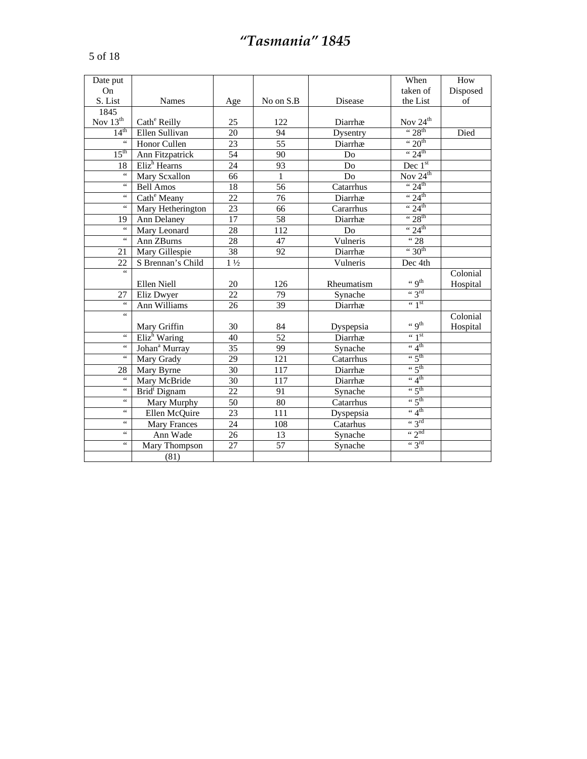| ×<br>× |  |  |  |
|--------|--|--|--|
|--------|--|--|--|

| Date put         |                             |                 |                 |            | When                                                  | How      |
|------------------|-----------------------------|-----------------|-----------------|------------|-------------------------------------------------------|----------|
| On               |                             |                 |                 |            | taken of                                              | Disposed |
| S. List          | Names                       | Age             | No on S.B       | Disease    | the List                                              | of       |
| 1845             |                             |                 |                 |            |                                                       |          |
| Nov $13^{th}$    | Cath <sup>e</sup> Reilly    | 25              | 122             | Diarrhæ    | $\frac{\text{Nov } 24^{\text{th}}}{9.28^{\text{th}}}$ |          |
| 14 <sup>th</sup> | Ellen Sullivan              | 20              | 94              | Dysentry   |                                                       | Died     |
| $\zeta$ $\zeta$  | Honor Cullen                | $\overline{23}$ | $\overline{55}$ | Diarrhæ    | $\cdot \cdot 20^{th}$                                 |          |
| $15^{\text{th}}$ | Ann Fitzpatrick             | $\overline{54}$ | 90              | Do         | $44^{\circ}$ 24 <sup>th</sup>                         |          |
| 18               | $E$ liz <sup>h</sup> Hearns | 24              | 93              | Do         | Dec $1st$                                             |          |
| 66               | Mary Scxallon               | 66              | $\mathbf{1}$    | Do         | Nov $24^{th}$                                         |          |
| $\zeta$ $\zeta$  | Bell Amos                   | $\overline{18}$ | $\overline{56}$ | Catarrhus  | $\cdot \cdot 24^{\text{th}}$                          |          |
| $\zeta$ $\zeta$  | Cath <sup>e</sup> Meany     | $\overline{22}$ | $\overline{76}$ | Diarrhæ    | " $24^{\text{th}}$                                    |          |
| $\zeta$ $\zeta$  | Mary Hetherington           | 23              | 66              | Cararrhus  | $\cdot \cdot 24$ <sup>th</sup>                        |          |
| 19               | Ann Delaney                 | 17              | 58              | Diarrhæ    | $\cdot \cdot 28$ <sup>th</sup>                        |          |
| $\zeta$ $\zeta$  | Mary Leonard                | 28              | 112             | Do         | $\cdot \cdot 24^{\text{th}}$                          |          |
| $\zeta$ $\zeta$  | Ann ZBurns                  | 28              | 47              | Vulneris   | $\overline{428}$                                      |          |
| 21               | Mary Gillespie              | 38              | 92              | Diarrhæ    | $\cdot \cdot 30$ <sup>th</sup>                        |          |
| 22               | S Brennan's Child           | $1\frac{1}{2}$  |                 | Vulneris   | Dec 4th                                               |          |
| $\zeta$ $\zeta$  |                             |                 |                 |            |                                                       | Colonial |
|                  | Ellen Niell                 | 20              | 126             | Rheumatism | $\cdot \cdot$ 9 <sup>th</sup>                         | Hospital |
| 27               | Eliz Dwyer                  | 22              | 79              | Synache    | $\lq$ 3 <sup>rd</sup>                                 |          |
| $\epsilon$       | Ann Williams                | 26              | 39              | Diarrhæ    | $\leftarrow$ 1st                                      |          |
| $\zeta\,\zeta$   |                             |                 |                 |            |                                                       | Colonial |
|                  | Mary Griffin                | 30              | 84              | Dyspepsia  | $\lq$ q <sup>th</sup>                                 | Hospital |
| $\zeta\,\zeta$   | Eliz <sup>h</sup> Waring    | 40              | $\overline{52}$ | Diarrhæ    | $\leftarrow$ 1 <sup>st</sup>                          |          |
| $\zeta$ $\zeta$  | Johan <sup>a</sup> Murray   | 35              | 99              | Synache    | $\cdot \cdot$ 4 <sup>th</sup>                         |          |
| $\zeta$ $\zeta$  | Mary Grady                  | 29              | 121             | Catarrhus  | $\cdot \cdot 5^{\text{th}}$                           |          |
| 28               | Mary Byrne                  | 30              | 117             | Diarrhæ    | $\cdot \cdot 5^{\text{th}}$                           |          |
| $\zeta$ $\zeta$  | Mary McBride                | 30              | 117             | Diarrhæ    | $\cdot \cdot$ 4 <sup>th</sup>                         |          |
| $\zeta\,\zeta$   | Brid <sup>t</sup> Dignam    | $\overline{22}$ | 91              | Synache    | $\cdot \cdot 5^{\text{th}}$                           |          |
| $\zeta$ $\zeta$  | Mary Murphy                 | 50              | 80              | Catarrhus  | $\cdot \cdot 5^{\text{th}}$                           |          |
| $\zeta$ $\zeta$  | Ellen McQuire               | $\overline{23}$ | 111             | Dyspepsia  | $\lq \lq 4$ <sup>th</sup>                             |          |
| $\zeta$ $\zeta$  | <b>Mary Frances</b>         | $\overline{24}$ | 108             | Catarhus   | $\lq$ 3rd                                             |          |
| $\zeta$ $\zeta$  | Ann Wade                    | 26              | 13              | Synache    | $\cdot \cdot 2^{nd}$                                  |          |
| $\zeta$ $\zeta$  | Mary Thompson               | 27              | 57              | Synache    | $\lq$ 3 <sup>rd</sup>                                 |          |
|                  | (81)                        |                 |                 |            |                                                       |          |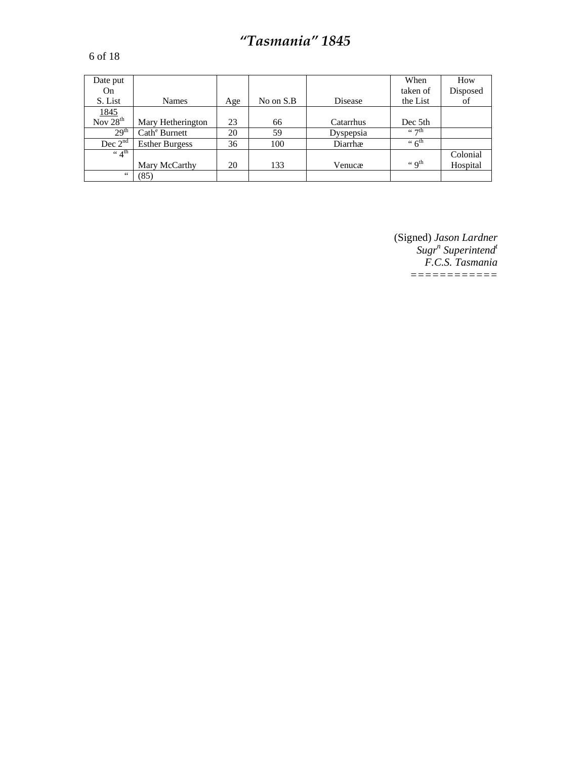#### 6 of 18

| Date put                                 |                           |     |           |           | When                                   | How      |
|------------------------------------------|---------------------------|-----|-----------|-----------|----------------------------------------|----------|
| On                                       |                           |     |           |           | taken of                               | Disposed |
| S. List                                  | <b>Names</b>              | Age | No on S.B | Disease   | the List                               | of       |
|                                          |                           |     |           |           |                                        |          |
| $\frac{1845}{\text{Nov }28^{\text{th}}}$ | Mary Hetherington         | 23  | 66        | Catarrhus | Dec 5th                                |          |
| 29 <sup>th</sup>                         | Cath <sup>e</sup> Burnett | 20  | 59        | Dyspepsia | $\epsilon \epsilon$ $\tau$ th          |          |
| Dec $2^{nd}$                             | <b>Esther Burgess</b>     | 36  | 100       | Diarrhæ   | $\cdot \cdot 6^{\text{th}}$            |          |
| $\lq 4^{\text{th}}$                      |                           |     |           |           |                                        | Colonial |
|                                          | Mary McCarthy             | 20  | 133       | Venucæ    | $\left( \cdot \right)$ q <sup>th</sup> | Hospital |
| 66                                       | (85)                      |     |           |           |                                        |          |

(Signed) *Jason Lardner*   $Sugr$ <sup>n</sup> Superintend<sup>t</sup> *F.C.S. Tasmania ============*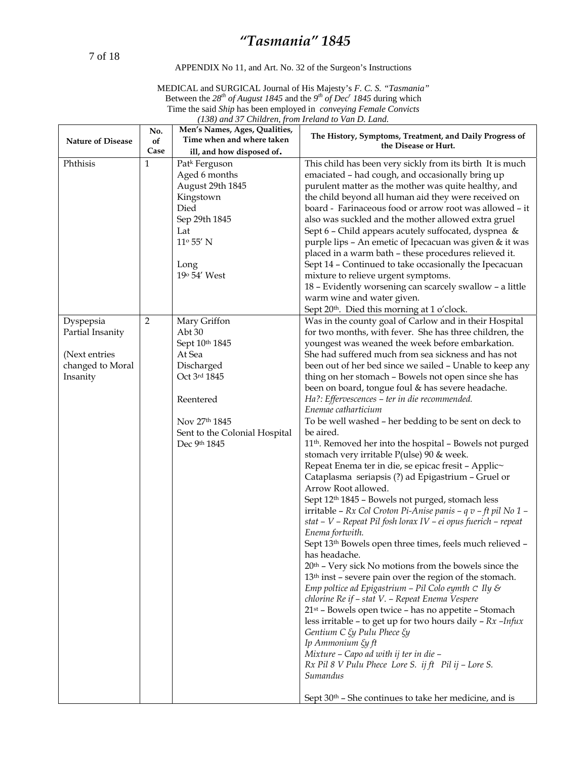7 of 18

#### APPENDIX No 11, and Art. No. 32 of the Surgeon's Instructions

| MEDICAL and SURGICAL Journal of His Majesty's F. C. S. "Tasmania"                                         |
|-----------------------------------------------------------------------------------------------------------|
| Between the 28 <sup>th</sup> of August 1845 and the 9 <sup>th</sup> of Dec <sup>r</sup> 1845 during which |
| Time the said Ship has been employed in conveying Female Convicts                                         |
| (138) and 37 Children, from Ireland to Van D. Land.                                                       |

| <b>Nature of Disease</b>                                                       | No.<br>of<br>Case | Men's Names, Ages, Qualities,<br>Time when and where taken<br>ill, and how disposed of.                                                                        | The History, Symptoms, Treatment, and Daily Progress of<br>the Disease or Hurt.                                                                                                                                                                                                                                                                                                                                                                                                                                                                                                                                                                                                                                                                                                                                                                                                                                                                                                                                                                                                                                                                                                                                                                                                                                                                                                                                                                                                                                                                                                                                                                                                                                                                              |
|--------------------------------------------------------------------------------|-------------------|----------------------------------------------------------------------------------------------------------------------------------------------------------------|--------------------------------------------------------------------------------------------------------------------------------------------------------------------------------------------------------------------------------------------------------------------------------------------------------------------------------------------------------------------------------------------------------------------------------------------------------------------------------------------------------------------------------------------------------------------------------------------------------------------------------------------------------------------------------------------------------------------------------------------------------------------------------------------------------------------------------------------------------------------------------------------------------------------------------------------------------------------------------------------------------------------------------------------------------------------------------------------------------------------------------------------------------------------------------------------------------------------------------------------------------------------------------------------------------------------------------------------------------------------------------------------------------------------------------------------------------------------------------------------------------------------------------------------------------------------------------------------------------------------------------------------------------------------------------------------------------------------------------------------------------------|
| Phthisis                                                                       | $\mathbf{1}$      | Patk Ferguson<br>Aged 6 months<br>August 29th 1845<br>Kingstown<br>Died<br>Sep 29th 1845<br>Lat<br>$11^{\rm o}$ 55′ N<br>Long<br>19 <sup>o</sup> 54' West      | This child has been very sickly from its birth It is much<br>emaciated - had cough, and occasionally bring up<br>purulent matter as the mother was quite healthy, and<br>the child beyond all human aid they were received on<br>board - Farinaceous food or arrow root was allowed – it<br>also was suckled and the mother allowed extra gruel<br>Sept 6 - Child appears acutely suffocated, dyspnea &<br>purple lips - An emetic of Ipecacuan was given & it was<br>placed in a warm bath - these procedures relieved it.<br>Sept 14 - Continued to take occasionally the Ipecacuan<br>mixture to relieve urgent symptoms.<br>18 - Evidently worsening can scarcely swallow - a little<br>warm wine and water given.<br>Sept 20 <sup>th</sup> . Died this morning at 1 o'clock.                                                                                                                                                                                                                                                                                                                                                                                                                                                                                                                                                                                                                                                                                                                                                                                                                                                                                                                                                                            |
| Dyspepsia<br>Partial Insanity<br>(Next entries<br>changed to Moral<br>Insanity | 2                 | Mary Griffon<br>Abt30<br>Sept 10th 1845<br>At Sea<br>Discharged<br>Oct 3rd 1845<br>Reentered<br>Nov 27th 1845<br>Sent to the Colonial Hospital<br>Dec 9th 1845 | Was in the county goal of Carlow and in their Hospital<br>for two months, with fever. She has three children, the<br>youngest was weaned the week before embarkation.<br>She had suffered much from sea sickness and has not<br>been out of her bed since we sailed - Unable to keep any<br>thing on her stomach - Bowels not open since she has<br>been on board, tongue foul & has severe headache.<br>Ha?: Effervescences - ter in die recommended.<br>Enemae catharticium<br>To be well washed - her bedding to be sent on deck to<br>be aired.<br>11 <sup>th</sup> . Removed her into the hospital - Bowels not purged<br>stomach very irritable P(ulse) 90 & week.<br>Repeat Enema ter in die, se epicac fresit - Applic~<br>Cataplasma seriapsis (?) ad Epigastrium - Gruel or<br>Arrow Root allowed.<br>Sept 12 <sup>th</sup> 1845 - Bowels not purged, stomach less<br>irritable - Rx Col Croton Pi-Anise panis - q v - ft pil No 1 -<br>stat – V – Repeat Pil fosh lorax IV – ei opus fuerich – repeat<br>Enema fortwith.<br>Sept 13 <sup>th</sup> Bowels open three times, feels much relieved -<br>has headache.<br>$20th$ – Very sick No motions from the bowels since the<br>13 <sup>th</sup> inst - severe pain over the region of the stomach.<br>Emp poltice ad Epigastrium - Pil Colo eymth $C$ Ily &<br>chlorine Re if – stat V. – Repeat Enema Vespere<br>21 <sup>st</sup> - Bowels open twice - has no appetite - Stomach<br>less irritable – to get up for two hours daily – $Rx$ –Infux<br>Gentium C $\xi$ y Pulu Phece $\xi$ y<br>Ip Ammonium $\xi$ y ft<br>Mixture - Capo ad with ij ter in die -<br>$Rx$ Pil 8 V Pulu Phece Lore S. ij ft Pil ij - Lore S.<br>Sumandus<br>Sept $30th$ – She continues to take her medicine, and is |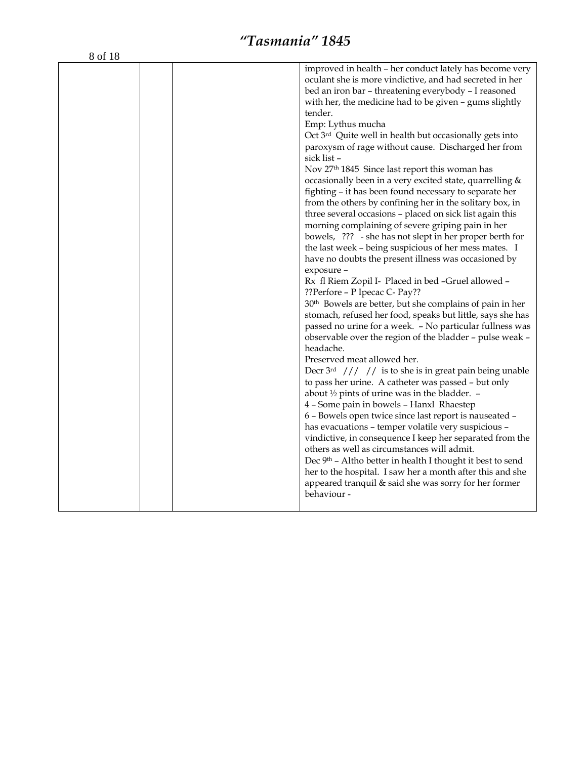|  | improved in health – her conduct lately has become very<br>oculant she is more vindictive, and had secreted in her<br>bed an iron bar - threatening everybody - I reasoned<br>with her, the medicine had to be given - gums slightly<br>tender.<br>Emp: Lythus mucha<br>Oct 3 <sup>rd</sup> Quite well in health but occasionally gets into<br>paroxysm of rage without cause. Discharged her from<br>sick list -<br>Nov 27 <sup>th</sup> 1845 Since last report this woman has<br>occasionally been in a very excited state, quarrelling &<br>fighting - it has been found necessary to separate her<br>from the others by confining her in the solitary box, in<br>three several occasions - placed on sick list again this<br>morning complaining of severe griping pain in her<br>bowels, ??? - she has not slept in her proper berth for<br>the last week - being suspicious of her mess mates. I<br>have no doubts the present illness was occasioned by<br>exposure -<br>Rx fl Riem Zopil I- Placed in bed -Gruel allowed -<br>??Perfore - P Ipecac C- Pay??<br>30 <sup>th</sup> Bowels are better, but she complains of pain in her<br>stomach, refused her food, speaks but little, says she has<br>passed no urine for a week. - No particular fullness was<br>observable over the region of the bladder - pulse weak -<br>headache.<br>Preserved meat allowed her.<br>Decr $3rd$ /// // is to she is in great pain being unable<br>to pass her urine. A catheter was passed - but only<br>about $\frac{1}{2}$ pints of urine was in the bladder. -<br>4 - Some pain in bowels - Hanxl Rhaestep<br>6 - Bowels open twice since last report is nauseated -<br>has evacuations - temper volatile very suspicious -<br>vindictive, in consequence I keep her separated from the<br>others as well as circumstances will admit.<br>Dec 9th - Altho better in health I thought it best to send<br>her to the hospital. I saw her a month after this and she<br>appeared tranquil & said she was sorry for her former<br>behaviour - |
|--|------------------------------------------------------------------------------------------------------------------------------------------------------------------------------------------------------------------------------------------------------------------------------------------------------------------------------------------------------------------------------------------------------------------------------------------------------------------------------------------------------------------------------------------------------------------------------------------------------------------------------------------------------------------------------------------------------------------------------------------------------------------------------------------------------------------------------------------------------------------------------------------------------------------------------------------------------------------------------------------------------------------------------------------------------------------------------------------------------------------------------------------------------------------------------------------------------------------------------------------------------------------------------------------------------------------------------------------------------------------------------------------------------------------------------------------------------------------------------------------------------------------------------------------------------------------------------------------------------------------------------------------------------------------------------------------------------------------------------------------------------------------------------------------------------------------------------------------------------------------------------------------------------------------------------------------------------------------------------------------------------------------------------------------|
|  |                                                                                                                                                                                                                                                                                                                                                                                                                                                                                                                                                                                                                                                                                                                                                                                                                                                                                                                                                                                                                                                                                                                                                                                                                                                                                                                                                                                                                                                                                                                                                                                                                                                                                                                                                                                                                                                                                                                                                                                                                                          |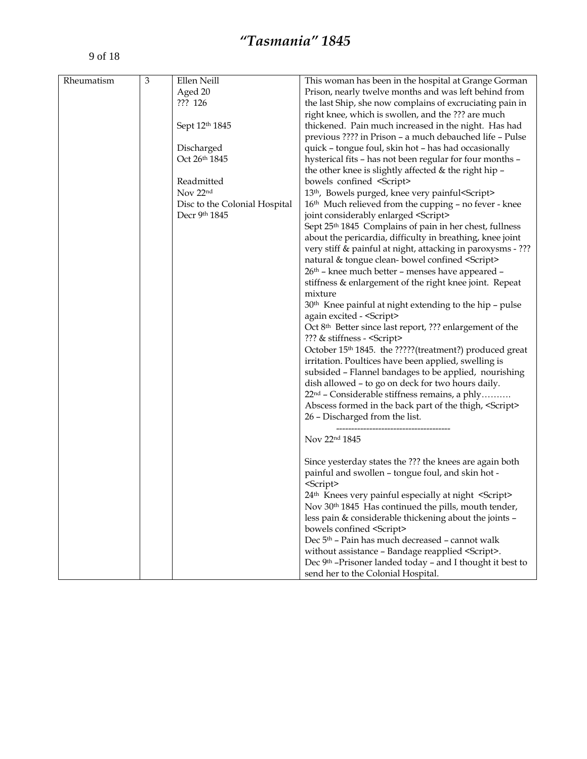| Rheumatism | $\mathfrak{Z}$ | Ellen Neill    | This woman has been in the hospital at Grange Gorman                                       |
|------------|----------------|----------------|--------------------------------------------------------------------------------------------|
|            |                | Aged 20        | Prison, nearly twelve months and was left behind from                                      |
|            |                | ??? 126        | the last Ship, she now complains of excruciating pain in                                   |
|            |                |                | right knee, which is swollen, and the ??? are much                                         |
|            |                | Sept 12th 1845 | thickened. Pain much increased in the night. Has had                                       |
|            |                |                | previous ???? in Prison – a much debauched life – Pulse                                    |
|            |                | Discharged     | quick - tongue foul, skin hot - has had occasionally                                       |
|            |                | Oct 26th 1845  | hysterical fits - has not been regular for four months -                                   |
|            |                |                |                                                                                            |
|            |                | Readmitted     | the other knee is slightly affected & the right hip -<br>bowels confined <script></script> |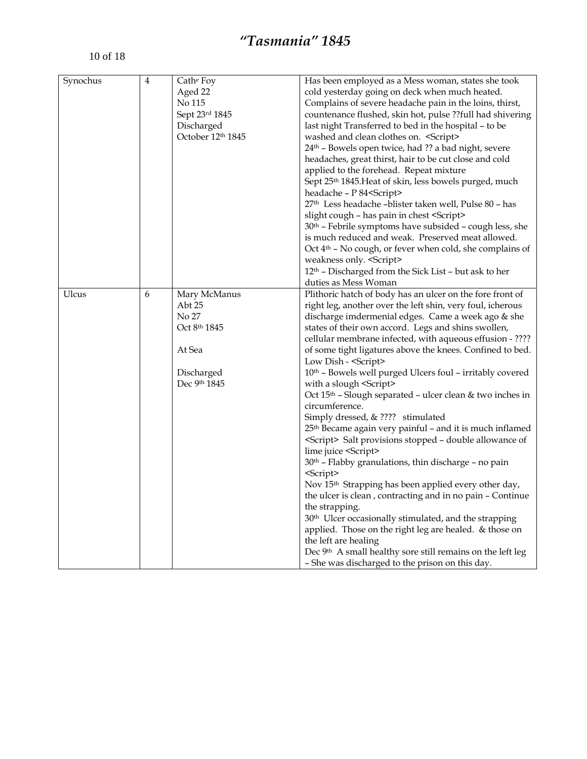| Synochus | $\overline{4}$ | Cath <sup>e</sup> Foy<br>Aged 22<br>No 115<br>Sept 23rd 1845<br>Discharged<br>October 12th 1845 | Has been employed as a Mess woman, states she took<br>cold yesterday going on deck when much heated.<br>Complains of severe headache pain in the loins, thirst,<br>countenance flushed, skin hot, pulse ??full had shivering<br>last night Transferred to bed in the hospital - to be<br>washed and clean clothes on. <script></script> |
|----------|----------------|-------------------------------------------------------------------------------------------------|-----------------------------------------------------------------------------------------------------------------------------------------------------------------------------------------------------------------------------------------------------------------------------------------------------------------------------------------|
|----------|----------------|-------------------------------------------------------------------------------------------------|-----------------------------------------------------------------------------------------------------------------------------------------------------------------------------------------------------------------------------------------------------------------------------------------------------------------------------------------|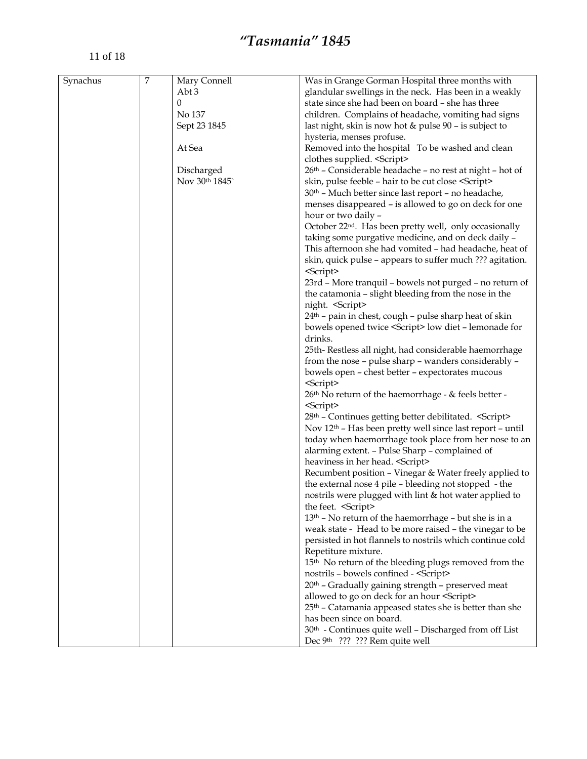| Synachus | $\overline{7}$ | Mary Connell | Was in Grange Gorman Hospital three months with        |
|----------|----------------|--------------|--------------------------------------------------------|
|          |                | Abt 3        | glandular swellings in the neck. Has been in a weakly  |
|          |                | 0            | state since she had been on board - she has three      |
|          |                | No 137       | children. Complains of headache, vomiting had signs    |
|          |                | Sept 23 1845 | last night, skin is now hot & pulse 90 - is subject to |
|          |                |              | hysteria, menses profuse.                              |
|          |                | At Sea       | Removed into the hospital To be washed and clean       |
|          |                |              | clothes supplied. <script></script>                    |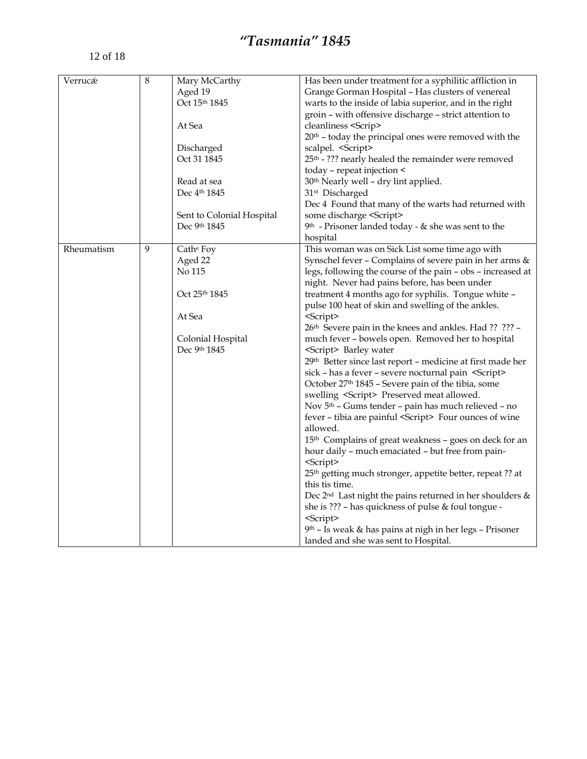| 8<br>Verrucé<br>Mary McCarthy<br>Has been under treatment for a syphilitic affliction in<br>Aged 19<br>Grange Gorman Hospital - Has clusters of venereal<br>Oct 15th 1845<br>warts to the inside of labia superior, and in the right<br>groin - with offensive discharge - strict attention to<br>At Sea<br>cleanliness <scrip><br/><math>20th</math> – today the principal ones were removed with the<br/>scalpel. <script></script></scrip> |
|-----------------------------------------------------------------------------------------------------------------------------------------------------------------------------------------------------------------------------------------------------------------------------------------------------------------------------------------------------------------------------------------------------------------------------------------------|
|-----------------------------------------------------------------------------------------------------------------------------------------------------------------------------------------------------------------------------------------------------------------------------------------------------------------------------------------------------------------------------------------------------------------------------------------------|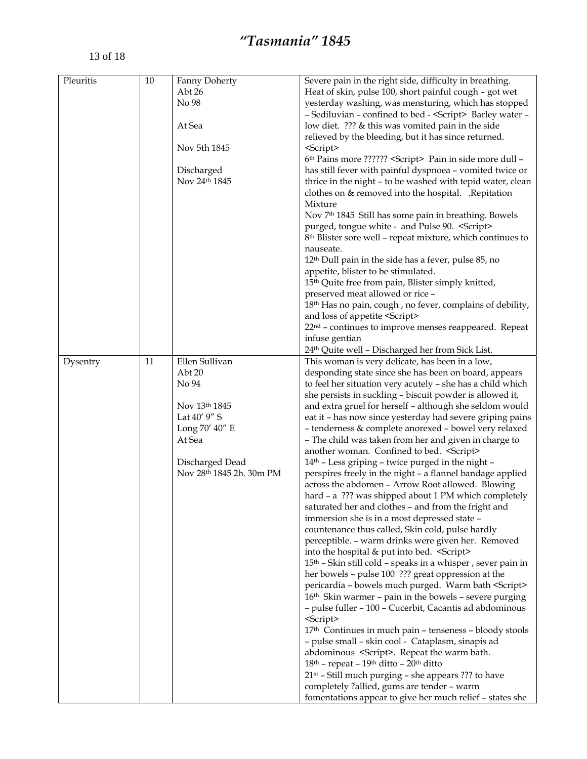| Heat of skin, pulse 100, short painful cough - got wet<br>Abt 26<br>yesterday washing, was mensturing, which has stopped<br>No 98<br>- Sediluvian - confined to bed - <script></script> |
|-----------------------------------------------------------------------------------------------------------------------------------------------------------------------------------------|
|-----------------------------------------------------------------------------------------------------------------------------------------------------------------------------------------|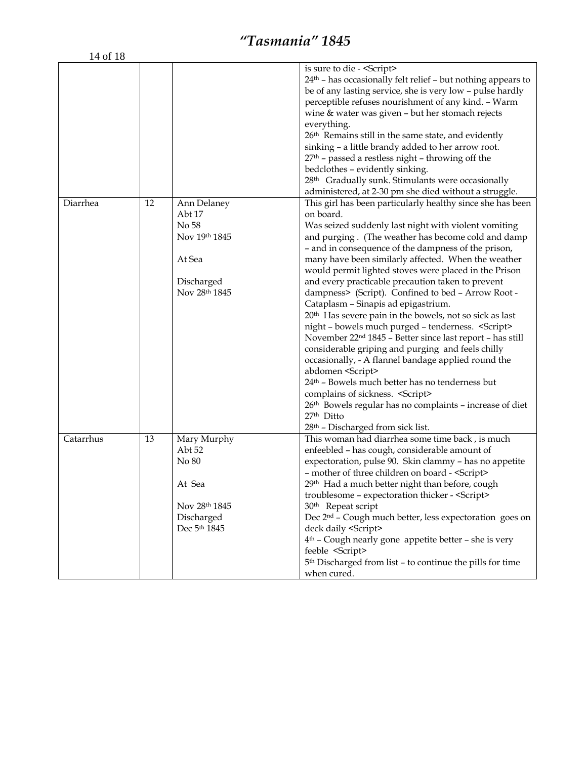| 14 of 18 |  |  |                                    |
|----------|--|--|------------------------------------|
|          |  |  | is sure to die - <script></script> |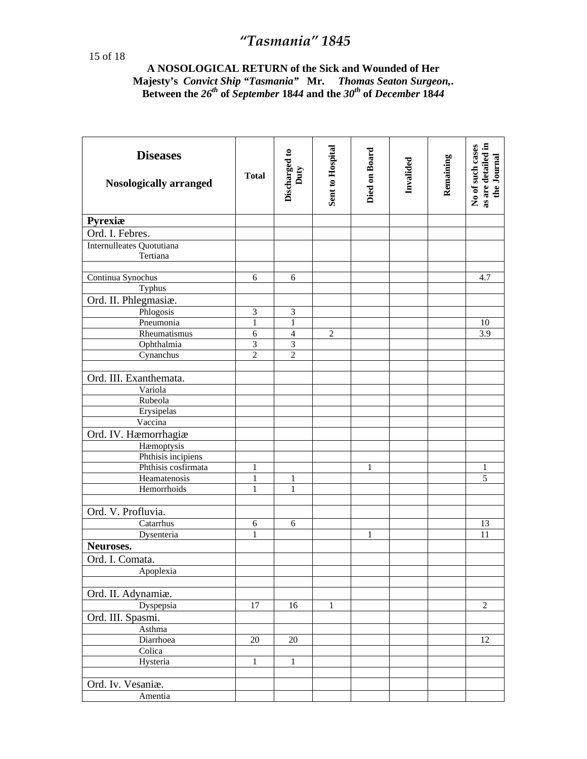#### **A NOSOLOGICAL RETURN of the Sick and Wounded of Her Majesty's** *Convict Ship "Tasmania"* **Mr.** *Thomas Seaton Surgeon,***. Between the** *26th* **of** *September* **18***44* **and the** *30th* **of** *December* **18***44*

| <b>Diseases</b><br><b>Nosologically arranged</b> | <b>Total</b>   | Discharged to<br>Duty | Sent to Hospital | Died on Board | Invalided | Remaining | as are detailed in<br>No of such cases<br>the Journal |
|--------------------------------------------------|----------------|-----------------------|------------------|---------------|-----------|-----------|-------------------------------------------------------|
| <b>Pyrexiæ</b>                                   |                |                       |                  |               |           |           |                                                       |
| Ord. I. Febres.                                  |                |                       |                  |               |           |           |                                                       |
| Internulleates Quotutiana<br>Tertiana            |                |                       |                  |               |           |           |                                                       |
| Continua Synochus                                | 6              | 6                     |                  |               |           |           | 4.7                                                   |
| Typhus                                           |                |                       |                  |               |           |           |                                                       |
| Ord. II. Phlegmasiæ.                             |                |                       |                  |               |           |           |                                                       |
| Phlogosis                                        | $\mathfrak{Z}$ | 3                     |                  |               |           |           |                                                       |
| Pneumonia                                        | 1              | 1                     |                  |               |           |           | 10                                                    |
| Rheumatismus                                     | 6              | $\overline{4}$        | $\overline{2}$   |               |           |           | 3.9                                                   |
| Ophthalmia                                       | $\mathfrak{Z}$ | $\mathfrak{Z}$        |                  |               |           |           |                                                       |
| Cynanchus                                        | $\overline{2}$ | $\overline{2}$        |                  |               |           |           |                                                       |
|                                                  |                |                       |                  |               |           |           |                                                       |
| Ord. III. Exanthemata.                           |                |                       |                  |               |           |           |                                                       |
| Variola                                          |                |                       |                  |               |           |           |                                                       |
| Rubeola                                          |                |                       |                  |               |           |           |                                                       |
| Erysipelas                                       |                |                       |                  |               |           |           |                                                       |
| Vaccina                                          |                |                       |                  |               |           |           |                                                       |
| Ord. IV. Hæmorrhagiæ                             |                |                       |                  |               |           |           |                                                       |
| Hæmoptysis                                       |                |                       |                  |               |           |           |                                                       |
| Phthisis incipiens                               |                |                       |                  |               |           |           |                                                       |
| Phthisis cosfirmata                              | 1              |                       |                  | 1             |           |           | 1                                                     |
| Heamatenosis                                     | $\mathbf{1}$   | 1                     |                  |               |           |           | $\overline{5}$                                        |
| Hemorrhoids                                      | $\mathbf{1}$   | 1                     |                  |               |           |           |                                                       |
|                                                  |                |                       |                  |               |           |           |                                                       |
| Ord. V. Profluvia.                               |                |                       |                  |               |           |           |                                                       |
| Catarrhus                                        | 6              | 6                     |                  |               |           |           | 13                                                    |
| Dysenteria                                       | 1              |                       |                  | 1             |           |           | 11                                                    |
| Neuroses.                                        |                |                       |                  |               |           |           |                                                       |
| Ord. I. Comata.                                  |                |                       |                  |               |           |           |                                                       |
| Apoplexia                                        |                |                       |                  |               |           |           |                                                       |
|                                                  |                |                       |                  |               |           |           |                                                       |
| Ord. II. Adynamiæ.                               |                |                       |                  |               |           |           |                                                       |
| Dyspepsia                                        | 17             | 16                    | $\mathbf{1}$     |               |           |           | $\overline{2}$                                        |
| Ord. III. Spasmi.                                |                |                       |                  |               |           |           |                                                       |
| Asthma                                           |                |                       |                  |               |           |           |                                                       |
| Diarrhoea                                        | 20             | 20                    |                  |               |           |           | 12                                                    |
| Colica                                           |                |                       |                  |               |           |           |                                                       |
| Hysteria                                         | 1              | $\mathbf{1}$          |                  |               |           |           |                                                       |
|                                                  |                |                       |                  |               |           |           |                                                       |
| Ord. Iv. Vesaniæ.                                |                |                       |                  |               |           |           |                                                       |
| Amentia                                          |                |                       |                  |               |           |           |                                                       |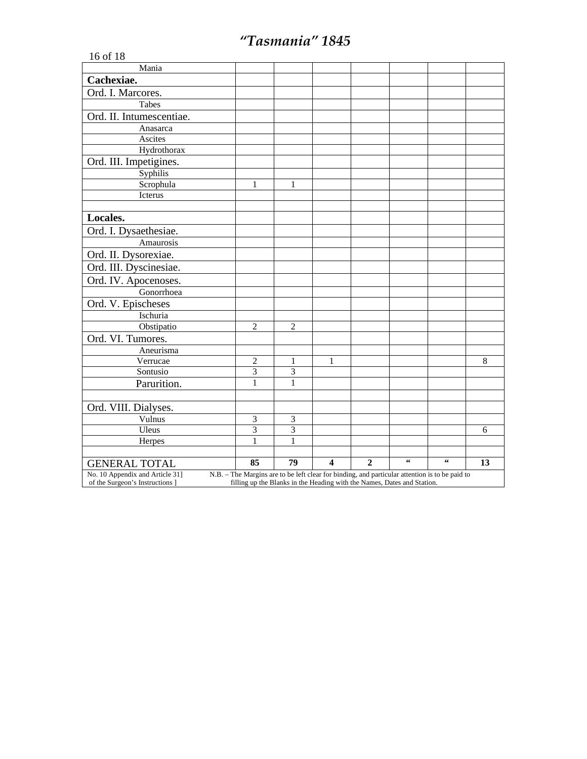| 16 of 18                        |                                                                                                |                |                         |                |                |                |    |
|---------------------------------|------------------------------------------------------------------------------------------------|----------------|-------------------------|----------------|----------------|----------------|----|
| Mania                           |                                                                                                |                |                         |                |                |                |    |
| Cachexiae.                      |                                                                                                |                |                         |                |                |                |    |
| Ord. I. Marcores.               |                                                                                                |                |                         |                |                |                |    |
| Tabes                           |                                                                                                |                |                         |                |                |                |    |
| Ord. II. Intumescentiae.        |                                                                                                |                |                         |                |                |                |    |
| Anasarca                        |                                                                                                |                |                         |                |                |                |    |
| Ascites                         |                                                                                                |                |                         |                |                |                |    |
| Hydrothorax                     |                                                                                                |                |                         |                |                |                |    |
| Ord. III. Impetigines.          |                                                                                                |                |                         |                |                |                |    |
| Syphilis                        |                                                                                                |                |                         |                |                |                |    |
| Scrophula                       | 1                                                                                              | 1              |                         |                |                |                |    |
| Icterus                         |                                                                                                |                |                         |                |                |                |    |
|                                 |                                                                                                |                |                         |                |                |                |    |
| Locales.                        |                                                                                                |                |                         |                |                |                |    |
| Ord. I. Dysaethesiae.           |                                                                                                |                |                         |                |                |                |    |
| Amaurosis                       |                                                                                                |                |                         |                |                |                |    |
| Ord. II. Dysorexiae.            |                                                                                                |                |                         |                |                |                |    |
| Ord. III. Dyscinesiae.          |                                                                                                |                |                         |                |                |                |    |
| Ord. IV. Apocenoses.            |                                                                                                |                |                         |                |                |                |    |
| Gonorrhoea                      |                                                                                                |                |                         |                |                |                |    |
| Ord. V. Epischeses              |                                                                                                |                |                         |                |                |                |    |
| Ischuria                        |                                                                                                |                |                         |                |                |                |    |
| Obstipatio                      | $\overline{2}$                                                                                 | $\overline{c}$ |                         |                |                |                |    |
| Ord. VI. Tumores.               |                                                                                                |                |                         |                |                |                |    |
| Aneurisma                       |                                                                                                |                |                         |                |                |                |    |
| Verrucae                        | $\overline{c}$                                                                                 | 1              | 1                       |                |                |                | 8  |
| Sontusio                        | 3                                                                                              | 3              |                         |                |                |                |    |
| Parurition.                     | $\mathbf{1}$                                                                                   | $\mathbf{1}$   |                         |                |                |                |    |
|                                 |                                                                                                |                |                         |                |                |                |    |
| Ord. VIII. Dialyses.            |                                                                                                |                |                         |                |                |                |    |
| Vulnus                          | $\mathfrak{Z}$                                                                                 | $\mathfrak{Z}$ |                         |                |                |                |    |
| Uleus                           | 3                                                                                              | 3              |                         |                |                |                | 6  |
| Herpes                          | 1                                                                                              | 1              |                         |                |                |                |    |
| <b>GENERAL TOTAL</b>            | 85                                                                                             | 79             | $\overline{\mathbf{4}}$ | $\overline{2}$ | $\zeta\,\zeta$ | $\zeta\,\zeta$ | 13 |
| No. 10 Appendix and Article 31] | N.B. - The Margins are to be left clear for binding, and particular attention is to be paid to |                |                         |                |                |                |    |
| of the Surgeon's Instructions ] | filling up the Blanks in the Heading with the Names, Dates and Station.                        |                |                         |                |                |                |    |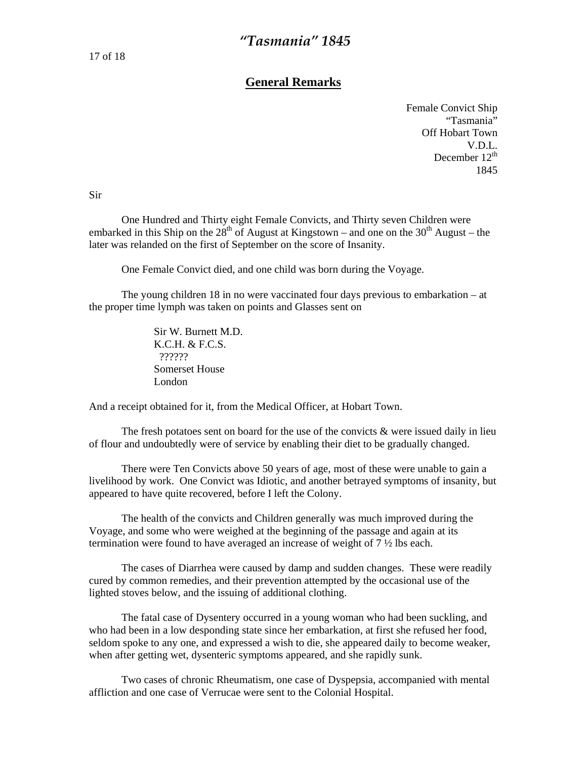#### **General Remarks**

Female Convict Ship "Tasmania" Off Hobart Town V.D.L. December  $12^{th}$ 1845

Sir

 One Hundred and Thirty eight Female Convicts, and Thirty seven Children were embarked in this Ship on the  $28<sup>th</sup>$  of August at Kingstown – and one on the 30<sup>th</sup> August – the later was relanded on the first of September on the score of Insanity.

One Female Convict died, and one child was born during the Voyage.

 The young children 18 in no were vaccinated four days previous to embarkation – at the proper time lymph was taken on points and Glasses sent on

> Sir W. Burnett M.D. K.C.H. & F.C.S. ?????? Somerset House London

And a receipt obtained for it, from the Medical Officer, at Hobart Town.

The fresh potatoes sent on board for the use of the convicts  $\&$  were issued daily in lieu of flour and undoubtedly were of service by enabling their diet to be gradually changed.

 There were Ten Convicts above 50 years of age, most of these were unable to gain a livelihood by work. One Convict was Idiotic, and another betrayed symptoms of insanity, but appeared to have quite recovered, before I left the Colony.

 The health of the convicts and Children generally was much improved during the Voyage, and some who were weighed at the beginning of the passage and again at its termination were found to have averaged an increase of weight of 7 ½ lbs each.

 The cases of Diarrhea were caused by damp and sudden changes. These were readily cured by common remedies, and their prevention attempted by the occasional use of the lighted stoves below, and the issuing of additional clothing.

 The fatal case of Dysentery occurred in a young woman who had been suckling, and who had been in a low desponding state since her embarkation, at first she refused her food, seldom spoke to any one, and expressed a wish to die, she appeared daily to become weaker, when after getting wet, dysenteric symptoms appeared, and she rapidly sunk.

 Two cases of chronic Rheumatism, one case of Dyspepsia, accompanied with mental affliction and one case of Verrucae were sent to the Colonial Hospital.